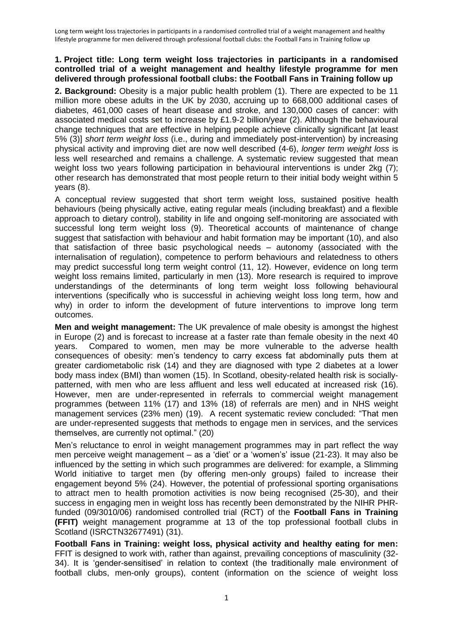**2. Background:** Obesity is a major public health problem (1). There are expected to be 11 million more obese adults in the UK by 2030, accruing up to 668,000 additional cases of diabetes, 461,000 cases of heart disease and stroke, and 130,000 cases of cancer: with associated medical costs set to increase by £1.9-2 billion/year (2). Although the behavioural change techniques that are effective in helping people achieve clinically significant [at least 5% (3)] *short term weight loss* (i.e., during and immediately post-intervention) by increasing physical activity and improving diet are now well described (4-6), *longer term weight loss* is less well researched and remains a challenge. A systematic review suggested that mean weight loss two years following participation in behavioural interventions is under 2kg (7); other research has demonstrated that most people return to their initial body weight within 5 years (8).

A conceptual review suggested that short term weight loss, sustained positive health behaviours (being physically active, eating regular meals (including breakfast) and a flexible approach to dietary control), stability in life and ongoing self-monitoring are associated with successful long term weight loss (9). Theoretical accounts of maintenance of change suggest that satisfaction with behaviour and habit formation may be important (10), and also that satisfaction of three basic psychological needs – autonomy (associated with the internalisation of regulation), competence to perform behaviours and relatedness to others may predict successful long term weight control (11, 12). However, evidence on long term weight loss remains limited, particularly in men (13). More research is required to improve understandings of the determinants of long term weight loss following behavioural interventions (specifically who is successful in achieving weight loss long term, how and why) in order to inform the development of future interventions to improve long term outcomes.

**Men and weight management:** The UK prevalence of male obesity is amongst the highest in Europe (2) and is forecast to increase at a faster rate than female obesity in the next 40 years. Compared to women, men may be more vulnerable to the adverse health consequences of obesity: men's tendency to carry excess fat abdominally puts them at greater cardiometabolic risk (14) and they are diagnosed with type 2 diabetes at a lower body mass index (BMI) than women (15). In Scotland, obesity-related health risk is sociallypatterned, with men who are less affluent and less well educated at increased risk (16). However, men are under-represented in referrals to commercial weight management programmes (between 11% (17) and 13% (18) of referrals are men) and in NHS weight management services (23% men) (19). A recent systematic review concluded: "That men are under-represented suggests that methods to engage men in services, and the services themselves, are currently not optimal." (20)

Men's reluctance to enrol in weight management programmes may in part reflect the way men perceive weight management – as a 'diet' or a 'women's' issue (21-23). It may also be influenced by the setting in which such programmes are delivered: for example, a Slimming World initiative to target men (by offering men-only groups) failed to increase their engagement beyond 5% (24). However, the potential of professional sporting organisations to attract men to health promotion activities is now being recognised (25-30), and their success in engaging men in weight loss has recently been demonstrated by the NIHR PHRfunded (09/3010/06) randomised controlled trial (RCT) of the **Football Fans in Training (FFIT)** weight management programme at 13 of the top professional football clubs in Scotland (ISRCTN32677491) (31).

**Football Fans in Training: weight loss, physical activity and healthy eating for men:**  FFIT is designed to work with, rather than against, prevailing conceptions of masculinity (32- 34). It is 'gender-sensitised' in relation to context (the traditionally male environment of football clubs, men-only groups), content (information on the science of weight loss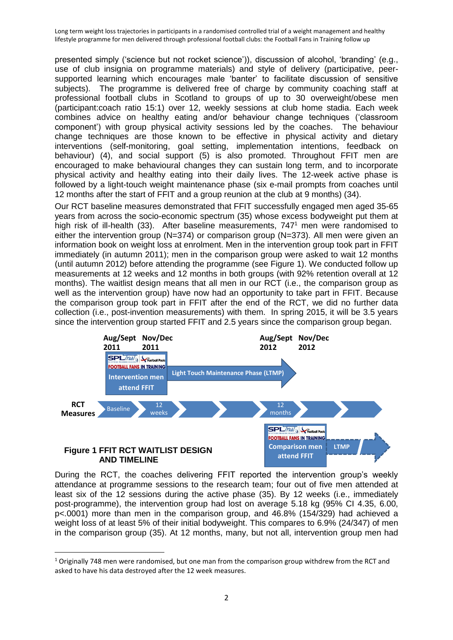presented simply ('science but not rocket science')), discussion of alcohol, 'branding' (e.g., use of club insignia on programme materials) and style of delivery (participative, peersupported learning which encourages male 'banter' to facilitate discussion of sensitive subjects). The programme is delivered free of charge by community coaching staff at professional football clubs in Scotland to groups of up to 30 overweight/obese men (participant:coach ratio 15:1) over 12, weekly sessions at club home stadia. Each week combines advice on healthy eating and/or behaviour change techniques ('classroom component') with group physical activity sessions led by the coaches. The behaviour change techniques are those known to be effective in physical activity and dietary interventions (self-monitoring, goal setting, implementation intentions, feedback on behaviour) (4), and social support (5) is also promoted. Throughout FFIT men are encouraged to make behavioural changes they can sustain long term, and to incorporate physical activity and healthy eating into their daily lives. The 12-week active phase is followed by a light-touch weight maintenance phase (six e-mail prompts from coaches until 12 months after the start of FFIT and a group reunion at the club at 9 months) (34).

Our RCT baseline measures demonstrated that FFIT successfully engaged men aged 35-65 years from across the socio-economic spectrum (35) whose excess bodyweight put them at high risk of ill-health (33). After baseline measurements, 747<sup>1</sup> men were randomised to either the intervention group (N=374) or comparison group (N=373). All men were given an information book on weight loss at enrolment. Men in the intervention group took part in FFIT immediately (in autumn 2011); men in the comparison group were asked to wait 12 months (until autumn 2012) before attending the programme (see Figure 1). We conducted follow up measurements at 12 weeks and 12 months in both groups (with 92% retention overall at 12 months). The waitlist design means that all men in our RCT (i.e., the comparison group as well as the intervention group) have now had an opportunity to take part in FFIT. Because the comparison group took part in FFIT after the end of the RCT, we did no further data collection (i.e., post-invention measurements) with them. In spring 2015, it will be 3.5 years since the intervention group started FFIT and 2.5 years since the comparison group began.



During the RCT, the coaches delivering FFIT reported the intervention group's weekly attendance at programme sessions to the research team; four out of five men attended at least six of the 12 sessions during the active phase (35). By 12 weeks (i.e., immediately post-programme), the intervention group had lost on average 5.18 kg (95% CI 4.35, 6.00, p<.0001) more than men in the comparison group, and 46.8% (154/329) had achieved a weight loss of at least 5% of their initial bodyweight. This compares to 6.9% (24/347) of men in the comparison group (35). At 12 months, many, but not all, intervention group men had

 $\overline{a}$ 

 $1$  Originally 748 men were randomised, but one man from the comparison group withdrew from the RCT and asked to have his data destroyed after the 12 week measures.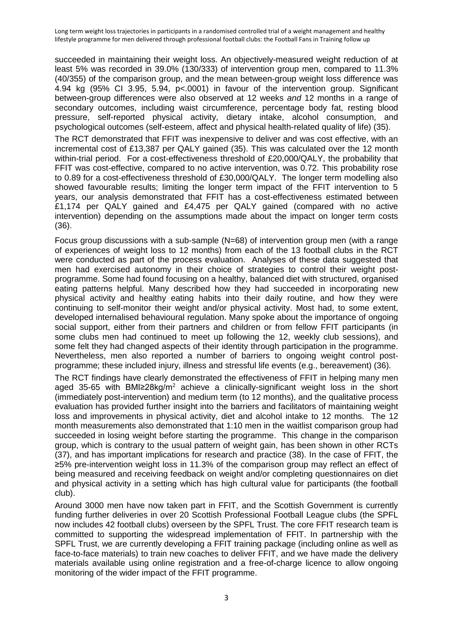succeeded in maintaining their weight loss. An objectively-measured weight reduction of at least 5% was recorded in 39.0% (130/333) of intervention group men, compared to 11.3% (40/355) of the comparison group, and the mean between-group weight loss difference was 4.94 kg (95% CI 3.95, 5.94, p<.0001) in favour of the intervention group. Significant between-group differences were also observed at 12 weeks *and* 12 months in a range of secondary outcomes, including waist circumference, percentage body fat, resting blood pressure, self-reported physical activity, dietary intake, alcohol consumption, and psychological outcomes (self-esteem, affect and physical health-related quality of life) (35).

The RCT demonstrated that FFIT was inexpensive to deliver and was cost effective, with an incremental cost of £13,387 per QALY gained (35). This was calculated over the 12 month within-trial period. For a cost-effectiveness threshold of £20,000/QALY, the probability that FFIT was cost-effective, compared to no active intervention, was 0.72. This probability rose to 0.89 for a cost-effectiveness threshold of £30,000/QALY. The longer term modelling also showed favourable results; limiting the longer term impact of the FFIT intervention to 5 years, our analysis demonstrated that FFIT has a cost-effectiveness estimated between £1,174 per QALY gained and £4,475 per QALY gained (compared with no active intervention) depending on the assumptions made about the impact on longer term costs (36).

Focus group discussions with a sub-sample (N=68) of intervention group men (with a range of experiences of weight loss to 12 months) from each of the 13 football clubs in the RCT were conducted as part of the process evaluation. Analyses of these data suggested that men had exercised autonomy in their choice of strategies to control their weight postprogramme. Some had found focusing on a healthy, balanced diet with structured, organised eating patterns helpful. Many described how they had succeeded in incorporating new physical activity and healthy eating habits into their daily routine, and how they were continuing to self-monitor their weight and/or physical activity. Most had, to some extent, developed internalised behavioural regulation. Many spoke about the importance of ongoing social support, either from their partners and children or from fellow FFIT participants (in some clubs men had continued to meet up following the 12, weekly club sessions), and some felt they had changed aspects of their identity through participation in the programme. Nevertheless, men also reported a number of barriers to ongoing weight control postprogramme; these included injury, illness and stressful life events (e.g., bereavement) (36).

The RCT findings have clearly demonstrated the effectiveness of FFIT in helping many men aged 35-65 with BMI≥28kg/m<sup>2</sup> achieve a clinically-significant weight loss in the short (immediately post-intervention) and medium term (to 12 months), and the qualitative process evaluation has provided further insight into the barriers and facilitators of maintaining weight loss and improvements in physical activity, diet and alcohol intake to 12 months. The 12 month measurements also demonstrated that 1:10 men in the waitlist comparison group had succeeded in losing weight before starting the programme. This change in the comparison group, which is contrary to the usual pattern of weight gain, has been shown in other RCTs (37), and has important implications for research and practice (38). In the case of FFIT, the ≥5% pre-intervention weight loss in 11.3% of the comparison group may reflect an effect of being measured and receiving feedback on weight and/or completing questionnaires on diet and physical activity in a setting which has high cultural value for participants (the football club).

Around 3000 men have now taken part in FFIT, and the Scottish Government is currently funding further deliveries in over 20 Scottish Professional Football League clubs (the SPFL now includes 42 football clubs) overseen by the SPFL Trust. The core FFIT research team is committed to supporting the widespread implementation of FFIT. In partnership with the SPFL Trust, we are currently developing a FFIT training package (including online as well as face-to-face materials) to train new coaches to deliver FFIT, and we have made the delivery materials available using online registration and a free-of-charge licence to allow ongoing monitoring of the wider impact of the FFIT programme.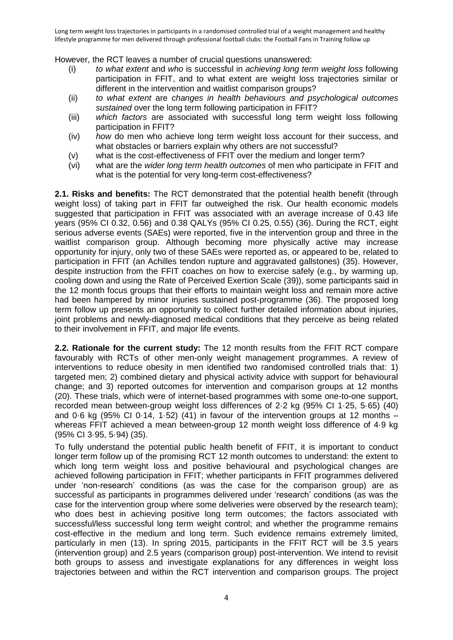However, the RCT leaves a number of crucial questions unanswered:

- (i) *to what extent* and *who* is successful in *achieving long term weight loss* following participation in FFIT, and to what extent are weight loss trajectories similar or different in the intervention and waitlist comparison groups?
- (ii) *to what extent* are *changes in health behaviours and psychological outcomes sustained* over the long term following participation in FFIT?
- (iii) *which factors* are associated with successful long term weight loss following participation in FFIT?
- (iv) *how* do men who achieve long term weight loss account for their success, and what obstacles or barriers explain why others are not successful?
- (v) what is the cost-effectiveness of FFIT over the medium and longer term?
- (vi) what are the *wider long term health outcomes* of men who participate in FFIT and what is the potential for very long-term cost-effectiveness?

**2.1. Risks and benefits:** The RCT demonstrated that the potential health benefit (through weight loss) of taking part in FFIT far outweighed the risk. Our health economic models suggested that participation in FFIT was associated with an average increase of 0.43 life years (95% CI 0.32, 0.56) and 0.38 QALYs (95% CI 0.25, 0.55) (36). During the RCT, eight serious adverse events (SAEs) were reported, five in the intervention group and three in the waitlist comparison group. Although becoming more physically active may increase opportunity for injury, only two of these SAEs were reported as, or appeared to be, related to participation in FFIT (an Achilles tendon rupture and aggravated gallstones) (35). However, despite instruction from the FFIT coaches on how to exercise safely (e.g., by warming up, cooling down and using the Rate of Perceived Exertion Scale (39)), some participants said in the 12 month focus groups that their efforts to maintain weight loss and remain more active had been hampered by minor injuries sustained post-programme (36). The proposed long term follow up presents an opportunity to collect further detailed information about injuries, joint problems and newly-diagnosed medical conditions that they perceive as being related to their involvement in FFIT, and major life events.

**2.2. Rationale for the current study:** The 12 month results from the FFIT RCT compare favourably with RCTs of other men-only weight management programmes. A review of interventions to reduce obesity in men identified two randomised controlled trials that: 1) targeted men; 2) combined dietary and physical activity advice with support for behavioural change; and 3) reported outcomes for intervention and comparison groups at 12 months (20). These trials, which were of internet-based programmes with some one-to-one support, recorded mean between-group weight loss differences of 2·2 kg (95% CI 1·25, 5·65) (40) and 0.6 kg (95% CI 0.14, 1.52) (41) in favour of the intervention groups at 12 months  $$ whereas FFIT achieved a mean between-group 12 month weight loss difference of 4·9 kg (95% CI 3·95, 5·94) (35).

To fully understand the potential public health benefit of FFIT, it is important to conduct longer term follow up of the promising RCT 12 month outcomes to understand: the extent to which long term weight loss and positive behavioural and psychological changes are achieved following participation in FFIT; whether participants in FFIT programmes delivered under 'non-research' conditions (as was the case for the comparison group) are as successful as participants in programmes delivered under 'research' conditions (as was the case for the intervention group where some deliveries were observed by the research team); who does best in achieving positive long term outcomes; the factors associated with successful/less successful long term weight control; and whether the programme remains cost-effective in the medium and long term. Such evidence remains extremely limited, particularly in men (13). In spring 2015, participants in the FFIT RCT will be 3.5 years (intervention group) and 2.5 years (comparison group) post-intervention. We intend to revisit both groups to assess and investigate explanations for any differences in weight loss trajectories between and within the RCT intervention and comparison groups. The project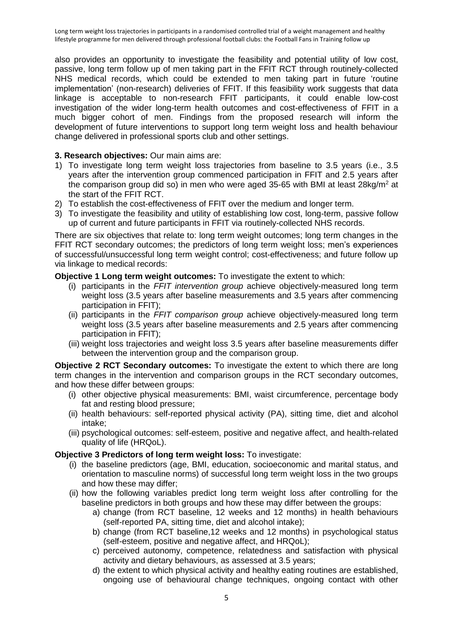also provides an opportunity to investigate the feasibility and potential utility of low cost, passive, long term follow up of men taking part in the FFIT RCT through routinely-collected NHS medical records, which could be extended to men taking part in future 'routine implementation' (non-research) deliveries of FFIT. If this feasibility work suggests that data linkage is acceptable to non-research FFIT participants, it could enable low-cost investigation of the wider long-term health outcomes and cost-effectiveness of FFIT in a much bigger cohort of men. Findings from the proposed research will inform the development of future interventions to support long term weight loss and health behaviour change delivered in professional sports club and other settings.

### **3. Research objectives:** Our main aims are:

- 1) To investigate long term weight loss trajectories from baseline to 3.5 years (i.e., 3.5 years after the intervention group commenced participation in FFIT and 2.5 years after the comparison group did so) in men who were aged 35-65 with BMI at least  $28\text{kg/m}^2$  at the start of the FFIT RCT.
- 2) To establish the cost-effectiveness of FFIT over the medium and longer term.
- 3) To investigate the feasibility and utility of establishing low cost, long-term, passive follow up of current and future participants in FFIT via routinely-collected NHS records.

There are six objectives that relate to: long term weight outcomes; long term changes in the FFIT RCT secondary outcomes; the predictors of long term weight loss; men's experiences of successful/unsuccessful long term weight control; cost-effectiveness; and future follow up via linkage to medical records:

### **Objective 1 Long term weight outcomes:** To investigate the extent to which:

- (i) participants in the *FFIT intervention group* achieve objectively-measured long term weight loss (3.5 years after baseline measurements and 3.5 years after commencing participation in FFIT);
- (ii) participants in the *FFIT comparison group* achieve objectively-measured long term weight loss (3.5 years after baseline measurements and 2.5 years after commencing participation in FFIT);
- (iii) weight loss trajectories and weight loss 3.5 years after baseline measurements differ between the intervention group and the comparison group.

**Objective 2 RCT Secondary outcomes:** To investigate the extent to which there are long term changes in the intervention and comparison groups in the RCT secondary outcomes, and how these differ between groups:

- (i) other objective physical measurements: BMI, waist circumference, percentage body fat and resting blood pressure;
- (ii) health behaviours: self-reported physical activity (PA), sitting time, diet and alcohol intake;
- (iii) psychological outcomes: self-esteem, positive and negative affect, and health-related quality of life (HRQoL).

# **Objective 3 Predictors of long term weight loss:** To investigate:

- (i) the baseline predictors (age, BMI, education, socioeconomic and marital status, and orientation to masculine norms) of successful long term weight loss in the two groups and how these may differ;
- (ii) how the following variables predict long term weight loss after controlling for the baseline predictors in both groups and how these may differ between the groups:
	- a) change (from RCT baseline, 12 weeks and 12 months) in health behaviours (self-reported PA, sitting time, diet and alcohol intake);
	- b) change (from RCT baseline,12 weeks and 12 months) in psychological status (self-esteem, positive and negative affect, and HRQoL);
	- c) perceived autonomy, competence, relatedness and satisfaction with physical activity and dietary behaviours, as assessed at 3.5 years;
	- d) the extent to which physical activity and healthy eating routines are established, ongoing use of behavioural change techniques, ongoing contact with other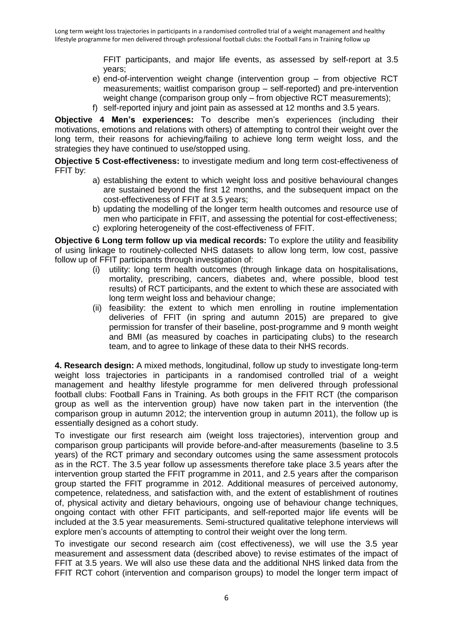FFIT participants, and major life events, as assessed by self-report at 3.5 years;

- e) end-of-intervention weight change (intervention group from objective RCT measurements; waitlist comparison group – self-reported) and pre-intervention weight change (comparison group only – from objective RCT measurements);
- f) self-reported injury and joint pain as assessed at 12 months and 3.5 years.

**Objective 4 Men's experiences:** To describe men's experiences (including their motivations, emotions and relations with others) of attempting to control their weight over the long term, their reasons for achieving/failing to achieve long term weight loss, and the strategies they have continued to use/stopped using.

**Objective 5 Cost-effectiveness:** to investigate medium and long term cost-effectiveness of FFIT by:

- a) establishing the extent to which weight loss and positive behavioural changes are sustained beyond the first 12 months, and the subsequent impact on the cost-effectiveness of FFIT at 3.5 years;
- b) updating the modelling of the longer term health outcomes and resource use of men who participate in FFIT, and assessing the potential for cost-effectiveness; c) exploring heterogeneity of the cost-effectiveness of FFIT.

**Objective 6 Long term follow up via medical records:** To explore the utility and feasibility of using linkage to routinely-collected NHS datasets to allow long term, low cost, passive follow up of FFIT participants through investigation of:

- (i) utility: long term health outcomes (through linkage data on hospitalisations, mortality, prescribing, cancers, diabetes and, where possible, blood test results) of RCT participants, and the extent to which these are associated with long term weight loss and behaviour change;
- (ii) feasibility: the extent to which men enrolling in routine implementation deliveries of FFIT (in spring and autumn 2015) are prepared to give permission for transfer of their baseline, post-programme and 9 month weight and BMI (as measured by coaches in participating clubs) to the research team, and to agree to linkage of these data to their NHS records.

**4. Research design:** A mixed methods, longitudinal, follow up study to investigate long-term weight loss trajectories in participants in a randomised controlled trial of a weight management and healthy lifestyle programme for men delivered through professional football clubs: Football Fans in Training. As both groups in the FFIT RCT (the comparison group as well as the intervention group) have now taken part in the intervention (the comparison group in autumn 2012; the intervention group in autumn 2011), the follow up is essentially designed as a cohort study.

To investigate our first research aim (weight loss trajectories), intervention group and comparison group participants will provide before-and-after measurements (baseline to 3.5 years) of the RCT primary and secondary outcomes using the same assessment protocols as in the RCT. The 3.5 year follow up assessments therefore take place 3.5 years after the intervention group started the FFIT programme in 2011, and 2.5 years after the comparison group started the FFIT programme in 2012. Additional measures of perceived autonomy, competence, relatedness, and satisfaction with, and the extent of establishment of routines of, physical activity and dietary behaviours, ongoing use of behaviour change techniques, ongoing contact with other FFIT participants, and self-reported major life events will be included at the 3.5 year measurements. Semi-structured qualitative telephone interviews will explore men's accounts of attempting to control their weight over the long term.

To investigate our second research aim (cost effectiveness), we will use the 3.5 year measurement and assessment data (described above) to revise estimates of the impact of FFIT at 3.5 years. We will also use these data and the additional NHS linked data from the FFIT RCT cohort (intervention and comparison groups) to model the longer term impact of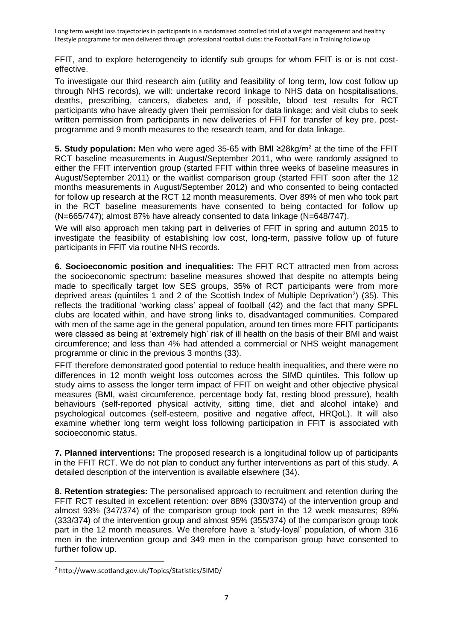FFIT, and to explore heterogeneity to identify sub groups for whom FFIT is or is not costeffective.

To investigate our third research aim (utility and feasibility of long term, low cost follow up through NHS records), we will: undertake record linkage to NHS data on hospitalisations, deaths, prescribing, cancers, diabetes and, if possible, blood test results for RCT participants who have already given their permission for data linkage; and visit clubs to seek written permission from participants in new deliveries of FFIT for transfer of key pre, postprogramme and 9 month measures to the research team, and for data linkage.

**5. Study population:** Men who were aged 35-65 with BMI ≥28kg/m<sup>2</sup> at the time of the FFIT RCT baseline measurements in August/September 2011, who were randomly assigned to either the FFIT intervention group (started FFIT within three weeks of baseline measures in August/September 2011) or the waitlist comparison group (started FFIT soon after the 12 months measurements in August/September 2012) and who consented to being contacted for follow up research at the RCT 12 month measurements. Over 89% of men who took part in the RCT baseline measurements have consented to being contacted for follow up (N=665/747); almost 87% have already consented to data linkage (N=648/747).

We will also approach men taking part in deliveries of FFIT in spring and autumn 2015 to investigate the feasibility of establishing low cost, long-term, passive follow up of future participants in FFIT via routine NHS records.

**6. Socioeconomic position and inequalities:** The FFIT RCT attracted men from across the socioeconomic spectrum: baseline measures showed that despite no attempts being made to specifically target low SES groups, 35% of RCT participants were from more deprived areas (quintiles 1 and 2 of the Scottish Index of Multiple Deprivation<sup>2</sup>) (35). This reflects the traditional 'working class' appeal of football (42) and the fact that many SPFL clubs are located within, and have strong links to, disadvantaged communities. Compared with men of the same age in the general population, around ten times more FFIT participants were classed as being at 'extremely high' risk of ill health on the basis of their BMI and waist circumference; and less than 4% had attended a commercial or NHS weight management programme or clinic in the previous 3 months (33).

FFIT therefore demonstrated good potential to reduce health inequalities, and there were no differences in 12 month weight loss outcomes across the SIMD quintiles. This follow up study aims to assess the longer term impact of FFIT on weight and other objective physical measures (BMI, waist circumference, percentage body fat, resting blood pressure), health behaviours (self-reported physical activity, sitting time, diet and alcohol intake) and psychological outcomes (self-esteem, positive and negative affect, HRQoL). It will also examine whether long term weight loss following participation in FFIT is associated with socioeconomic status.

**7. Planned interventions:** The proposed research is a longitudinal follow up of participants in the FFIT RCT. We do not plan to conduct any further interventions as part of this study. A detailed description of the intervention is available elsewhere (34).

**8. Retention strategies:** The personalised approach to recruitment and retention during the FFIT RCT resulted in excellent retention: over 88% (330/374) of the intervention group and almost 93% (347/374) of the comparison group took part in the 12 week measures; 89% (333/374) of the intervention group and almost 95% (355/374) of the comparison group took part in the 12 month measures. We therefore have a 'study-loyal' population, of whom 316 men in the intervention group and 349 men in the comparison group have consented to further follow up.

**<sup>.</sup>** <sup>2</sup> http://www.scotland.gov.uk/Topics/Statistics/SIMD/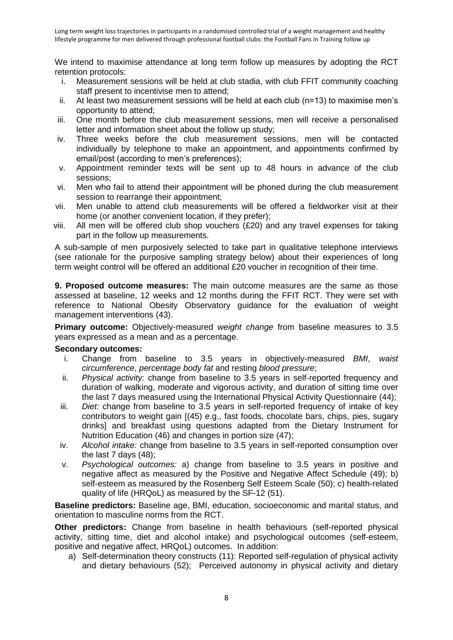We intend to maximise attendance at long term follow up measures by adopting the RCT retention protocols:

- i. Measurement sessions will be held at club stadia, with club FFIT community coaching staff present to incentivise men to attend;
- ii. At least two measurement sessions will be held at each club (n=13) to maximise men's opportunity to attend;
- iii. One month before the club measurement sessions, men will receive a personalised letter and information sheet about the follow up study;
- iv. Three weeks before the club measurement sessions, men will be contacted individually by telephone to make an appointment, and appointments confirmed by email/post (according to men's preferences);
- v. Appointment reminder texts will be sent up to 48 hours in advance of the club sessions;
- vi. Men who fail to attend their appointment will be phoned during the club measurement session to rearrange their appointment:
- vii. Men unable to attend club measurements will be offered a fieldworker visit at their home (or another convenient location, if they prefer);
- viii. All men will be offered club shop vouchers (£20) and any travel expenses for taking part in the follow up measurements.

A sub-sample of men purposively selected to take part in qualitative telephone interviews (see rationale for the purposive sampling strategy below) about their experiences of long term weight control will be offered an additional £20 voucher in recognition of their time.

**9. Proposed outcome measures:** The main outcome measures are the same as those assessed at baseline, 12 weeks and 12 months during the FFIT RCT. They were set with reference to National Obesity Observatory guidance for the evaluation of weight management interventions (43).

**Primary outcome:** Objectively-measured *weight change* from baseline measures to 3.5 years expressed as a mean and as a percentage.

### **Secondary outcomes:**

- i. Change from baseline to 3.5 years in objectively-measured *BMI*, *waist circumference*, *percentage body fat* and resting *blood pressure*;
- ii. *Physical activity:* change from baseline to 3.5 years in self-reported frequency and duration of walking, moderate and vigorous activity, and duration of sitting time over the last 7 days measured using the International Physical Activity Questionnaire (44);
- iii. *Diet:* change from baseline to 3.5 years in self-reported frequency of intake of key contributors to weight gain [(45) e.g., fast foods, chocolate bars, chips, pies, sugary drinks] and breakfast using questions adapted from the Dietary Instrument for Nutrition Education (46) and changes in portion size (47);
- iv. *Alcohol intake:* change from baseline to 3.5 years in self-reported consumption over the last 7 days (48);
- v. *Psychological outcomes:* a) change from baseline to 3.5 years in positive and negative affect as measured by the Positive and Negative Affect Schedule (49); b) self-esteem as measured by the Rosenberg Self Esteem Scale (50); c) health-related quality of life (HRQoL) as measured by the SF-12 (51).

**Baseline predictors:** Baseline age, BMI, education, socioeconomic and marital status, and orientation to masculine norms from the RCT.

**Other predictors:** Change from baseline in health behaviours (self-reported physical activity, sitting time, diet and alcohol intake) and psychological outcomes (self-esteem, positive and negative affect, HRQoL) outcomes. In addition:

a) Self-determination theory constructs (11): Reported self-regulation of physical activity and dietary behaviours (52); Perceived autonomy in physical activity and dietary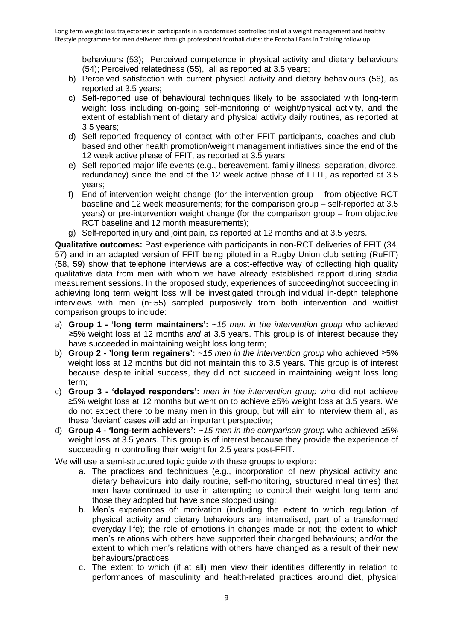behaviours (53); Perceived competence in physical activity and dietary behaviours (54); Perceived relatedness (55), all as reported at 3.5 years;

- b) Perceived satisfaction with current physical activity and dietary behaviours (56), as reported at 3.5 years;
- c) Self-reported use of behavioural techniques likely to be associated with long-term weight loss including on-going self-monitoring of weight/physical activity, and the extent of establishment of dietary and physical activity daily routines, as reported at 3.5 years;
- d) Self-reported frequency of contact with other FFIT participants, coaches and clubbased and other health promotion/weight management initiatives since the end of the 12 week active phase of FFIT, as reported at 3.5 years;
- e) Self-reported major life events (e.g., bereavement, family illness, separation, divorce, redundancy) since the end of the 12 week active phase of FFIT, as reported at 3.5 years;
- f) End-of-intervention weight change (for the intervention group from objective RCT baseline and 12 week measurements; for the comparison group – self-reported at 3.5 years) or pre-intervention weight change (for the comparison group – from objective RCT baseline and 12 month measurements);
- g) Self-reported injury and joint pain, as reported at 12 months and at 3.5 years.

**Qualitative outcomes:** Past experience with participants in non-RCT deliveries of FFIT (34, 57) and in an adapted version of FFIT being piloted in a Rugby Union club setting (RuFIT) (58, 59) show that telephone interviews are a cost-effective way of collecting high quality qualitative data from men with whom we have already established rapport during stadia measurement sessions. In the proposed study, experiences of succeeding/not succeeding in achieving long term weight loss will be investigated through individual in-depth telephone interviews with men (n~55) sampled purposively from both intervention and waitlist comparison groups to include:

- a) **Group 1 - 'long term maintainers':** ~*15 men in the intervention group* who achieved ≥5% weight loss at 12 months *and* at 3.5 years. This group is of interest because they have succeeded in maintaining weight loss long term;
- b) **Group 2 - 'long term regainers':** ~*15 men in the intervention group* who achieved ≥5% weight loss at 12 months but did not maintain this to 3.5 years. This group is of interest because despite initial success, they did not succeed in maintaining weight loss long term;
- c) **Group 3 - 'delayed responders':** *men in the intervention group* who did not achieve ≥5% weight loss at 12 months but went on to achieve ≥5% weight loss at 3.5 years. We do not expect there to be many men in this group, but will aim to interview them all, as these 'deviant' cases will add an important perspective;
- d) **Group 4 - 'long-term achievers':** *~15 men in the comparison group* who achieved ≥5% weight loss at 3.5 years. This group is of interest because they provide the experience of succeeding in controlling their weight for 2.5 years post-FFIT.

We will use a semi-structured topic quide with these groups to explore:

- a. The practices and techniques (e.g., incorporation of new physical activity and dietary behaviours into daily routine, self-monitoring, structured meal times) that men have continued to use in attempting to control their weight long term and those they adopted but have since stopped using;
- b. Men's experiences of: motivation (including the extent to which regulation of physical activity and dietary behaviours are internalised, part of a transformed everyday life); the role of emotions in changes made or not; the extent to which men's relations with others have supported their changed behaviours; and/or the extent to which men's relations with others have changed as a result of their new behaviours/practices;
- c. The extent to which (if at all) men view their identities differently in relation to performances of masculinity and health-related practices around diet, physical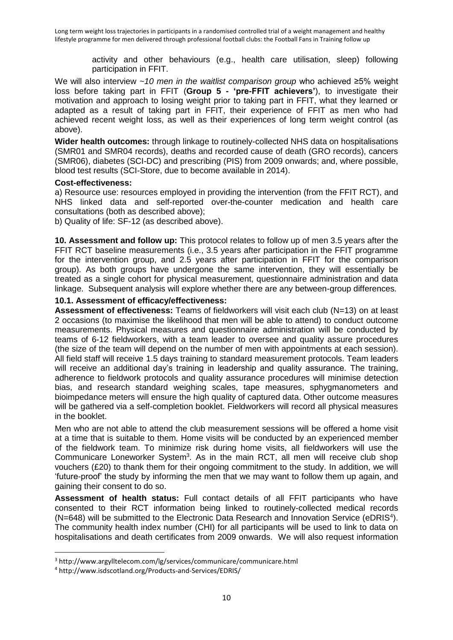activity and other behaviours (e.g., health care utilisation, sleep) following participation in FFIT.

We will also interview *~10 men in the waitlist comparison group* who achieved ≥5% weight loss before taking part in FFIT (**Group 5 - 'pre-FFIT achievers'**), to investigate their motivation and approach to losing weight prior to taking part in FFIT, what they learned or adapted as a result of taking part in FFIT, their experience of FFIT as men who had achieved recent weight loss, as well as their experiences of long term weight control (as above).

**Wider health outcomes:** through linkage to routinely-collected NHS data on hospitalisations (SMR01 and SMR04 records), deaths and recorded cause of death (GRO records), cancers (SMR06), diabetes (SCI-DC) and prescribing (PIS) from 2009 onwards; and, where possible, blood test results (SCI-Store, due to become available in 2014).

### **Cost-effectiveness:**

a) Resource use: resources employed in providing the intervention (from the FFIT RCT), and NHS linked data and self-reported over-the-counter medication and health care consultations (both as described above);

b) Quality of life: SF-12 (as described above).

**10. Assessment and follow up:** This protocol relates to follow up of men 3.5 years after the FFIT RCT baseline measurements (i.e., 3.5 years after participation in the FFIT programme for the intervention group, and 2.5 years after participation in FFIT for the comparison group). As both groups have undergone the same intervention, they will essentially be treated as a single cohort for physical measurement, questionnaire administration and data linkage. Subsequent analysis will explore whether there are any between-group differences.

### **10.1. Assessment of efficacy/effectiveness:**

**Assessment of effectiveness:** Teams of fieldworkers will visit each club (N=13) on at least 2 occasions (to maximise the likelihood that men will be able to attend) to conduct outcome measurements. Physical measures and questionnaire administration will be conducted by teams of 6-12 fieldworkers, with a team leader to oversee and quality assure procedures (the size of the team will depend on the number of men with appointments at each session). All field staff will receive 1.5 days training to standard measurement protocols. Team leaders will receive an additional day's training in leadership and quality assurance. The training, adherence to fieldwork protocols and quality assurance procedures will minimise detection bias, and research standard weighing scales, tape measures, sphygmanometers and bioimpedance meters will ensure the high quality of captured data. Other outcome measures will be gathered via a self-completion booklet. Fieldworkers will record all physical measures in the booklet.

Men who are not able to attend the club measurement sessions will be offered a home visit at a time that is suitable to them. Home visits will be conducted by an experienced member of the fieldwork team. To minimize risk during home visits, all fieldworkers will use the Communicare Loneworker System<sup>3</sup>. As in the main RCT, all men will receive club shop vouchers (£20) to thank them for their ongoing commitment to the study. In addition, we will 'future-proof' the study by informing the men that we may want to follow them up again, and gaining their consent to do so.

**Assessment of health status:** Full contact details of all FFIT participants who have consented to their RCT information being linked to routinely-collected medical records (N=648) will be submitted to the Electronic Data Research and Innovation Service (eDRIS<sup>4</sup>). The community health index number (CHI) for all participants will be used to link to data on hospitalisations and death certificates from 2009 onwards. We will also request information

 $\overline{a}$ 

<sup>3</sup> http://www.argylltelecom.com/lg/services/communicare/communicare.html

<sup>4</sup> http://www.isdscotland.org/Products-and-Services/EDRIS/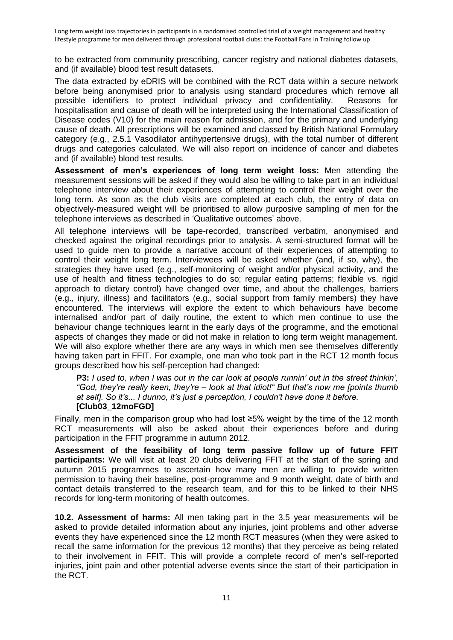to be extracted from community prescribing, cancer registry and national diabetes datasets, and (if available) blood test result datasets.

The data extracted by eDRIS will be combined with the RCT data within a secure network before being anonymised prior to analysis using standard procedures which remove all possible identifiers to protect individual privacy and confidentiality. Reasons for hospitalisation and cause of death will be interpreted using the International Classification of Disease codes (V10) for the main reason for admission, and for the primary and underlying cause of death. All prescriptions will be examined and classed by British National Formulary category (e.g., 2.5.1 Vasodilator antihypertensive drugs), with the total number of different drugs and categories calculated. We will also report on incidence of cancer and diabetes and (if available) blood test results.

**Assessment of men's experiences of long term weight loss:** Men attending the measurement sessions will be asked if they would also be willing to take part in an individual telephone interview about their experiences of attempting to control their weight over the long term. As soon as the club visits are completed at each club, the entry of data on objectively-measured weight will be prioritised to allow purposive sampling of men for the telephone interviews as described in 'Qualitative outcomes' above.

All telephone interviews will be tape-recorded, transcribed verbatim, anonymised and checked against the original recordings prior to analysis. A semi-structured format will be used to guide men to provide a narrative account of their experiences of attempting to control their weight long term. Interviewees will be asked whether (and, if so, why), the strategies they have used (e.g., self-monitoring of weight and/or physical activity, and the use of health and fitness technologies to do so; regular eating patterns; flexible vs. rigid approach to dietary control) have changed over time, and about the challenges, barriers (e.g., injury, illness) and facilitators (e.g., social support from family members) they have encountered. The interviews will explore the extent to which behaviours have become internalised and/or part of daily routine, the extent to which men continue to use the behaviour change techniques learnt in the early days of the programme, and the emotional aspects of changes they made or did not make in relation to long term weight management. We will also explore whether there are any ways in which men see themselves differently having taken part in FFIT. For example, one man who took part in the RCT 12 month focus groups described how his self-perception had changed:

**P3:** *I used to, when I was out in the car look at people runnin' out in the street thinkin', "God, they're really keen, they're – look at that idiot!" But that's now me [points thumb at self]. So it's... I dunno, it's just a perception, I couldn't have done it before.* **[Club03\_12moFGD]**

Finally, men in the comparison group who had lost ≥5% weight by the time of the 12 month RCT measurements will also be asked about their experiences before and during participation in the FFIT programme in autumn 2012.

**Assessment of the feasibility of long term passive follow up of future FFIT participants:** We will visit at least 20 clubs delivering FFIT at the start of the spring and autumn 2015 programmes to ascertain how many men are willing to provide written permission to having their baseline, post-programme and 9 month weight, date of birth and contact details transferred to the research team, and for this to be linked to their NHS records for long-term monitoring of health outcomes.

**10.2. Assessment of harms:** All men taking part in the 3.5 year measurements will be asked to provide detailed information about any injuries, joint problems and other adverse events they have experienced since the 12 month RCT measures (when they were asked to recall the same information for the previous 12 months) that they perceive as being related to their involvement in FFIT. This will provide a complete record of men's self-reported injuries, joint pain and other potential adverse events since the start of their participation in the RCT.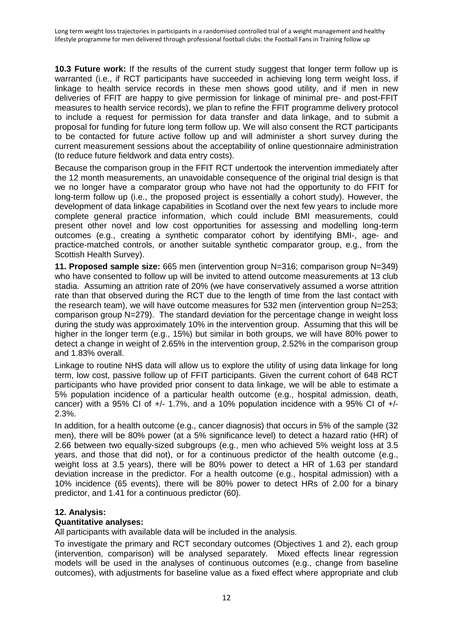**10.3 Future work:** If the results of the current study suggest that longer term follow up is warranted (i.e., if RCT participants have succeeded in achieving long term weight loss, if linkage to health service records in these men shows good utility, and if men in new deliveries of FFIT are happy to give permission for linkage of minimal pre- and post-FFIT measures to health service records), we plan to refine the FFIT programme delivery protocol to include a request for permission for data transfer and data linkage, and to submit a proposal for funding for future long term follow up. We will also consent the RCT participants to be contacted for future active follow up and will administer a short survey during the current measurement sessions about the acceptability of online questionnaire administration (to reduce future fieldwork and data entry costs).

Because the comparison group in the FFIT RCT undertook the intervention immediately after the 12 month measurements, an unavoidable consequence of the original trial design is that we no longer have a comparator group who have not had the opportunity to do FFIT for long-term follow up (i.e., the proposed project is essentially a cohort study). However, the development of data linkage capabilities in Scotland over the next few years to include more complete general practice information, which could include BMI measurements, could present other novel and low cost opportunities for assessing and modelling long-term outcomes (e.g., creating a synthetic comparator cohort by identifying BMI-, age- and practice-matched controls, or another suitable synthetic comparator group, e.g., from the Scottish Health Survey).

**11. Proposed sample size:** 665 men (intervention group N=316; comparison group N=349) who have consented to follow up will be invited to attend outcome measurements at 13 club stadia. Assuming an attrition rate of 20% (we have conservatively assumed a worse attrition rate than that observed during the RCT due to the length of time from the last contact with the research team), we will have outcome measures for 532 men (intervention group N=253; comparison group N=279). The standard deviation for the percentage change in weight loss during the study was approximately 10% in the intervention group. Assuming that this will be higher in the longer term (e.g., 15%) but similar in both groups, we will have 80% power to detect a change in weight of 2.65% in the intervention group, 2.52% in the comparison group and 1.83% overall.

Linkage to routine NHS data will allow us to explore the utility of using data linkage for long term, low cost, passive follow up of FFIT participants. Given the current cohort of 648 RCT participants who have provided prior consent to data linkage, we will be able to estimate a 5% population incidence of a particular health outcome (e.g., hospital admission, death, cancer) with a 95% CI of  $+/-$  1.7%, and a 10% population incidence with a 95% CI of  $+/-$ 2.3%.

In addition, for a health outcome (e.g., cancer diagnosis) that occurs in 5% of the sample (32 men), there will be 80% power (at a 5% significance level) to detect a hazard ratio (HR) of 2.66 between two equally-sized subgroups (e.g., men who achieved 5% weight loss at 3.5 years, and those that did not), or for a continuous predictor of the health outcome (e.g., weight loss at 3.5 years), there will be 80% power to detect a HR of 1.63 per standard deviation increase in the predictor. For a health outcome (e.g., hospital admission) with a 10% incidence (65 events), there will be 80% power to detect HRs of 2.00 for a binary predictor, and 1.41 for a continuous predictor (60).

# **12. Analysis:**

# **Quantitative analyses:**

All participants with available data will be included in the analysis.

To investigate the primary and RCT secondary outcomes (Objectives 1 and 2), each group (intervention, comparison) will be analysed separately. Mixed effects linear regression models will be used in the analyses of continuous outcomes (e.g., change from baseline outcomes), with adjustments for baseline value as a fixed effect where appropriate and club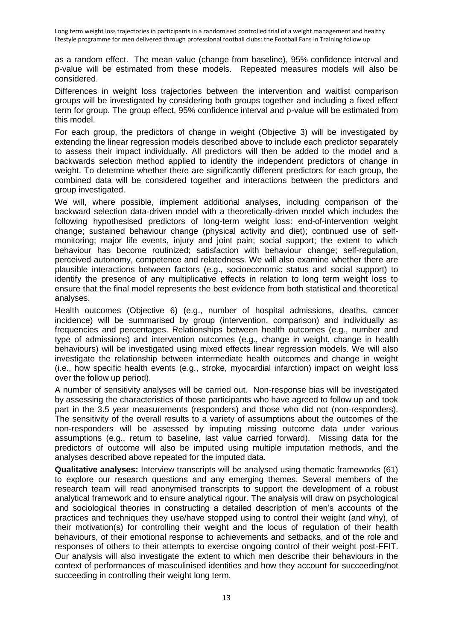as a random effect. The mean value (change from baseline), 95% confidence interval and p-value will be estimated from these models. Repeated measures models will also be considered.

Differences in weight loss trajectories between the intervention and waitlist comparison groups will be investigated by considering both groups together and including a fixed effect term for group. The group effect, 95% confidence interval and p-value will be estimated from this model.

For each group, the predictors of change in weight (Objective 3) will be investigated by extending the linear regression models described above to include each predictor separately to assess their impact individually. All predictors will then be added to the model and a backwards selection method applied to identify the independent predictors of change in weight. To determine whether there are significantly different predictors for each group, the combined data will be considered together and interactions between the predictors and group investigated.

We will, where possible, implement additional analyses, including comparison of the backward selection data-driven model with a theoretically-driven model which includes the following hypothesised predictors of long-term weight loss: end-of-intervention weight change; sustained behaviour change (physical activity and diet); continued use of selfmonitoring; major life events, injury and joint pain; social support; the extent to which behaviour has become routinized; satisfaction with behaviour change; self-regulation, perceived autonomy, competence and relatedness. We will also examine whether there are plausible interactions between factors (e.g., socioeconomic status and social support) to identify the presence of any multiplicative effects in relation to long term weight loss to ensure that the final model represents the best evidence from both statistical and theoretical analyses.

Health outcomes (Objective 6) (e.g., number of hospital admissions, deaths, cancer incidence) will be summarised by group (intervention, comparison) and individually as frequencies and percentages. Relationships between health outcomes (e.g., number and type of admissions) and intervention outcomes (e.g., change in weight, change in health behaviours) will be investigated using mixed effects linear regression models. We will also investigate the relationship between intermediate health outcomes and change in weight (i.e., how specific health events (e.g., stroke, myocardial infarction) impact on weight loss over the follow up period).

A number of sensitivity analyses will be carried out. Non-response bias will be investigated by assessing the characteristics of those participants who have agreed to follow up and took part in the 3.5 year measurements (responders) and those who did not (non-responders). The sensitivity of the overall results to a variety of assumptions about the outcomes of the non-responders will be assessed by imputing missing outcome data under various assumptions (e.g., return to baseline, last value carried forward). Missing data for the predictors of outcome will also be imputed using multiple imputation methods, and the analyses described above repeated for the imputed data.

**Qualitative analyses:** Interview transcripts will be analysed using thematic frameworks (61) to explore our research questions and any emerging themes. Several members of the research team will read anonymised transcripts to support the development of a robust analytical framework and to ensure analytical rigour. The analysis will draw on psychological and sociological theories in constructing a detailed description of men's accounts of the practices and techniques they use/have stopped using to control their weight (and why), of their motivation(s) for controlling their weight and the locus of regulation of their health behaviours, of their emotional response to achievements and setbacks, and of the role and responses of others to their attempts to exercise ongoing control of their weight post-FFIT. Our analysis will also investigate the extent to which men describe their behaviours in the context of performances of masculinised identities and how they account for succeeding/not succeeding in controlling their weight long term.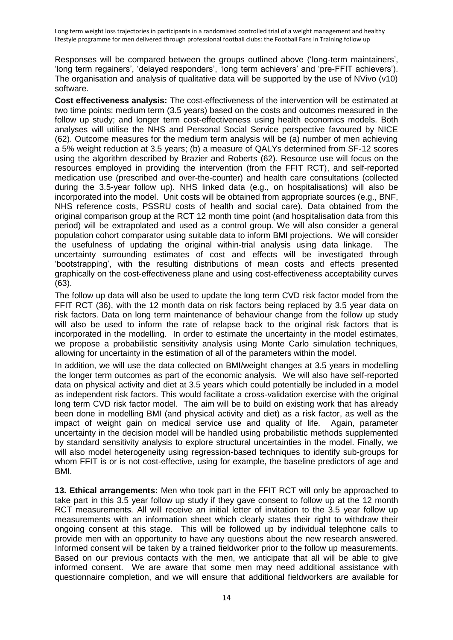Responses will be compared between the groups outlined above ('long-term maintainers', 'long term regainers', 'delayed responders', 'long term achievers' and 'pre-FFIT achievers'). The organisation and analysis of qualitative data will be supported by the use of NVivo (v10) software.

**Cost effectiveness analysis:** The cost-effectiveness of the intervention will be estimated at two time points: medium term (3.5 years) based on the costs and outcomes measured in the follow up study; and longer term cost-effectiveness using health economics models. Both analyses will utilise the NHS and Personal Social Service perspective favoured by NICE (62). Outcome measures for the medium term analysis will be (a) number of men achieving a 5% weight reduction at 3.5 years; (b) a measure of QALYs determined from SF-12 scores using the algorithm described by Brazier and Roberts (62). Resource use will focus on the resources employed in providing the intervention (from the FFIT RCT), and self-reported medication use (prescribed and over-the-counter) and health care consultations (collected during the 3.5-year follow up). NHS linked data (e.g., on hospitalisations) will also be incorporated into the model. Unit costs will be obtained from appropriate sources (e.g., BNF, NHS reference costs, PSSRU costs of health and social care). Data obtained from the original comparison group at the RCT 12 month time point (and hospitalisation data from this period) will be extrapolated and used as a control group. We will also consider a general population cohort comparator using suitable data to inform BMI projections. We will consider the usefulness of updating the original within-trial analysis using data linkage. The uncertainty surrounding estimates of cost and effects will be investigated through 'bootstrapping', with the resulting distributions of mean costs and effects presented graphically on the cost-effectiveness plane and using cost-effectiveness acceptability curves (63).

The follow up data will also be used to update the long term CVD risk factor model from the FFIT RCT (36), with the 12 month data on risk factors being replaced by 3.5 year data on risk factors. Data on long term maintenance of behaviour change from the follow up study will also be used to inform the rate of relapse back to the original risk factors that is incorporated in the modelling. In order to estimate the uncertainty in the model estimates, we propose a probabilistic sensitivity analysis using Monte Carlo simulation techniques, allowing for uncertainty in the estimation of all of the parameters within the model.

In addition, we will use the data collected on BMI/weight changes at 3.5 years in modelling the longer term outcomes as part of the economic analysis. We will also have self-reported data on physical activity and diet at 3.5 years which could potentially be included in a model as independent risk factors. This would facilitate a cross-validation exercise with the original long term CVD risk factor model. The aim will be to build on existing work that has already been done in modelling BMI (and physical activity and diet) as a risk factor, as well as the impact of weight gain on medical service use and quality of life. Again, parameter uncertainty in the decision model will be handled using probabilistic methods supplemented by standard sensitivity analysis to explore structural uncertainties in the model. Finally, we will also model heterogeneity using regression-based techniques to identify sub-groups for whom FFIT is or is not cost-effective, using for example, the baseline predictors of age and BMI.

**13. Ethical arrangements:** Men who took part in the FFIT RCT will only be approached to take part in this 3.5 year follow up study if they gave consent to follow up at the 12 month RCT measurements. All will receive an initial letter of invitation to the 3.5 year follow up measurements with an information sheet which clearly states their right to withdraw their ongoing consent at this stage. This will be followed up by individual telephone calls to provide men with an opportunity to have any questions about the new research answered. Informed consent will be taken by a trained fieldworker prior to the follow up measurements. Based on our previous contacts with the men, we anticipate that all will be able to give informed consent. We are aware that some men may need additional assistance with questionnaire completion, and we will ensure that additional fieldworkers are available for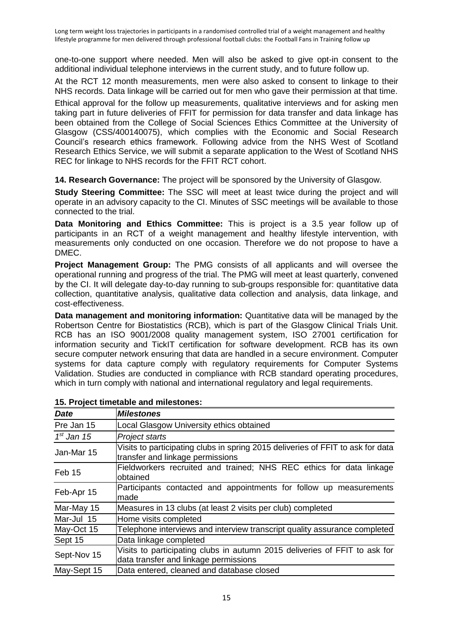one-to-one support where needed. Men will also be asked to give opt-in consent to the additional individual telephone interviews in the current study, and to future follow up.

At the RCT 12 month measurements, men were also asked to consent to linkage to their NHS records. Data linkage will be carried out for men who gave their permission at that time.

Ethical approval for the follow up measurements, qualitative interviews and for asking men taking part in future deliveries of FFIT for permission for data transfer and data linkage has been obtained from the College of Social Sciences Ethics Committee at the University of Glasgow (CSS/400140075), which complies with the Economic and Social Research Council's research ethics framework. Following advice from the NHS West of Scotland Research Ethics Service, we will submit a separate application to the West of Scotland NHS REC for linkage to NHS records for the FFIT RCT cohort.

**14. Research Governance:** The project will be sponsored by the University of Glasgow.

**Study Steering Committee:** The SSC will meet at least twice during the project and will operate in an advisory capacity to the CI. Minutes of SSC meetings will be available to those connected to the trial.

**Data Monitoring and Ethics Committee:** This is project is a 3.5 year follow up of participants in an RCT of a weight management and healthy lifestyle intervention, with measurements only conducted on one occasion. Therefore we do not propose to have a DMEC.

**Project Management Group:** The PMG consists of all applicants and will oversee the operational running and progress of the trial. The PMG will meet at least quarterly, convened by the CI. It will delegate day-to-day running to sub-groups responsible for: quantitative data collection, quantitative analysis, qualitative data collection and analysis, data linkage, and cost-effectiveness.

**Data management and monitoring information:** Quantitative data will be managed by the Robertson Centre for Biostatistics (RCB), which is part of the Glasgow Clinical Trials Unit. RCB has an ISO 9001/2008 quality management system, ISO 27001 certification for information security and TickIT certification for software development. RCB has its own secure computer network ensuring that data are handled in a secure environment. Computer systems for data capture comply with regulatory requirements for Computer Systems Validation. Studies are conducted in compliance with RCB standard operating procedures, which in turn comply with national and international regulatory and legal requirements.

| <b>Date</b>  | <b>Milestones</b>                                                                                                   |
|--------------|---------------------------------------------------------------------------------------------------------------------|
| Pre Jan 15   | Local Glasgow University ethics obtained                                                                            |
| $1st$ Jan 15 | <b>Project starts</b>                                                                                               |
| Jan-Mar 15   | Visits to participating clubs in spring 2015 deliveries of FFIT to ask for data<br>transfer and linkage permissions |
| Feb 15       | Fieldworkers recruited and trained; NHS REC ethics for data linkage<br>obtained                                     |
| Feb-Apr 15   | Participants contacted and appointments for follow up measurements<br>made                                          |
| Mar-May 15   | Measures in 13 clubs (at least 2 visits per club) completed                                                         |
| Mar-Jul 15   | Home visits completed                                                                                               |
| May-Oct 15   | Telephone interviews and interview transcript quality assurance completed                                           |
| Sept 15      | Data linkage completed                                                                                              |
| Sept-Nov 15  | Visits to participating clubs in autumn 2015 deliveries of FFIT to ask for<br>data transfer and linkage permissions |
| May-Sept 15  | Data entered, cleaned and database closed                                                                           |

# **15. Project timetable and milestones:**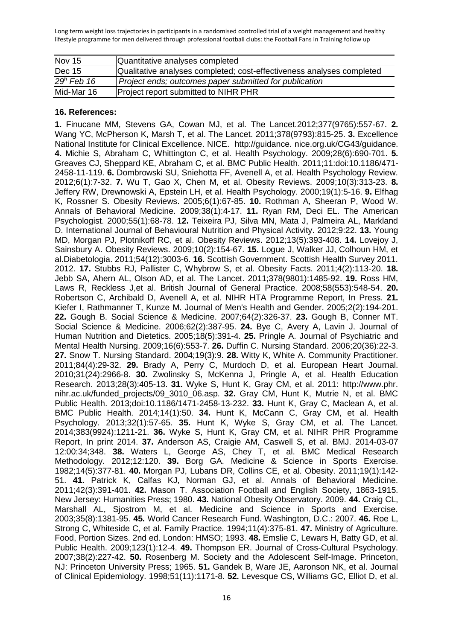| <b>Nov 15</b> | Quantitative analyses completed                                       |
|---------------|-----------------------------------------------------------------------|
| Dec 15        | Qualitative analyses completed; cost-effectiveness analyses completed |
| $29h$ Feb 16  | Project ends; outcomes paper submitted for publication                |
| Mid-Mar 16    | <b>Project report submitted to NIHR PHR</b>                           |

#### **16. References:**

**1.** Finucane MM, Stevens GA, Cowan MJ, et al. The Lancet.2012;377(9765):557-67. **2.** Wang YC, McPherson K, Marsh T, et al. The Lancet. 2011;378(9793):815-25. **3.** Excellence National Institute for Clinical Excellence. NICE. http://guidance. nice.org.uk/CG43/guidance. **4.** Michie S, Abraham C, Whittington C, et al. Health Psychology. 2009;28(6):690-701. **5.** Greaves CJ, Sheppard KE, Abraham C, et al. BMC Public Health. 2011;11:doi:10.1186/471- 2458-11-119. **6.** Dombrowski SU, Sniehotta FF, Avenell A, et al. Health Psychology Review. 2012;6(1):7-32. **7.** Wu T, Gao X, Chen M, et al. Obesity Reviews. 2009;10(3):313-23. **8.** Jeffery RW, Drewnowski A, Epstein LH, et al. Health Psychology. 2000;19(1):5-16. **9.** Elfhag K, Rossner S. Obesity Reviews. 2005;6(1):67-85. **10.** Rothman A, Sheeran P, Wood W. Annals of Behavioral Medicine. 2009;38(1):4-17. **11.** Ryan RM, Deci EL. The American Psychologist. 2000;55(1):68-78. **12.** Teixeira PJ, Silva MN, Mata J, Palmeira AL, Markland D. International Journal of Behavioural Nutrition and Physical Activity. 2012;9:22. **13.** Young MD, Morgan PJ, Plotnikoff RC, et al. Obesity Reviews. 2012;13(5):393-408. **14.** Lovejoy J, Sainsbury A. Obesity Reviews. 2009;10(2):154-67. **15.** Logue J, Walker JJ, Colhoun HM, et al.Diabetologia. 2011;54(12):3003-6. **16.** Scottish Government. Scottish Health Survey 2011. 2012. **17.** Stubbs RJ, Pallister C, Whybrow S, et al. Obesity Facts. 2011;4(2):113-20. **18.** Jebb SA, Ahern AL, Olson AD, et al. The Lancet. 2011;378(9801):1485-92. **19.** Ross HM, Laws R, Reckless J,et al. British Journal of General Practice. 2008;58(553):548-54. **20.** Robertson C, Archibald D, Avenell A, et al. NIHR HTA Programme Report, In Press. **21.** Kiefer I, Rathmanner T, Kunze M. Journal of Men's Health and Gender. 2005;2(2):194-201. **22.** Gough B. Social Science & Medicine. 2007;64(2):326-37. **23.** Gough B, Conner MT. Social Science & Medicine. 2006;62(2):387-95. **24.** Bye C, Avery A, Lavin J. Journal of Human Nutrition and Dietetics. 2005;18(5):391-4. **25.** Pringle A. Journal of Psychiatric and Mental Health Nursing. 2009;16(6):553-7. **26.** Duffin C. Nursing Standard. 2006;20(36):22-3. **27.** Snow T. Nursing Standard. 2004;19(3):9. **28.** Witty K, White A. Community Practitioner. 2011;84(4):29-32. **29.** Brady A, Perry C, Murdoch D, et al. European Heart Journal. 2010;31(24):2966-8. **30.** Zwolinsky S, McKenna J, Pringle A, et al. Health Education Research. 2013;28(3):405-13. **31.** Wyke S, Hunt K, Gray CM, et al. 2011: http://www.phr. nihr.ac.uk/funded\_projects/09\_3010\_06.asp. **32.** Gray CM, Hunt K, Mutrie N, et al. BMC Public Health. 2013;doi:10.1186/1471-2458-13-232. **33.** Hunt K, Gray C, Maclean A, et al. BMC Public Health. 2014;14(1):50. **34.** Hunt K, McCann C, Gray CM, et al. Health Psychology. 2013;32(1):57-65. **35.** Hunt K, Wyke S, Gray CM, et al. The Lancet. 2014;383(9924):1211-21. **36.** Wyke S, Hunt K, Gray CM, et al. NIHR PHR Programme Report, In print 2014. **37.** Anderson AS, Craigie AM, Caswell S, et al. BMJ. 2014-03-07 12:00:34;348. **38.** Waters L, George AS, Chey T, et al. BMC Medical Research Methodology. 2012;12:120. **39.** Borg GA. Medicine & Science in Sports Exercise. 1982;14(5):377-81. **40.** Morgan PJ, Lubans DR, Collins CE, et al. Obesity. 2011;19(1):142- 51. **41.** Patrick K, Calfas KJ, Norman GJ, et al. Annals of Behavioral Medicine. 2011;42(3):391-401. **42.** Mason T. Association Football and English Society, 1863-1915. New Jersey: Humanities Press; 1980. **43.** National Obesity Observatory. 2009. **44.** Craig CL, Marshall AL, Sjostrom M, et al. Medicine and Science in Sports and Exercise. 2003;35(8):1381-95. **45.** World Cancer Research Fund. Washington, D.C.: 2007. **46.** Roe L, Strong C, Whiteside C, et al. Family Practice. 1994;11(4):375-81. **47.** Ministry of Agriculture. Food, Portion Sizes. 2nd ed. London: HMSO; 1993. **48.** Emslie C, Lewars H, Batty GD, et al. Public Health. 2009;123(1):12-4. **49.** Thompson ER. Journal of Cross-Cultural Psychology. 2007;38(2):227-42. **50.** Rosenberg M. Society and the Adolescent Self-Image. Princeton, NJ: Princeton University Press; 1965. **51.** Gandek B, Ware JE, Aaronson NK, et al. Journal of Clinical Epidemiology. 1998;51(11):1171-8. **52.** Levesque CS, Williams GC, Elliot D, et al.